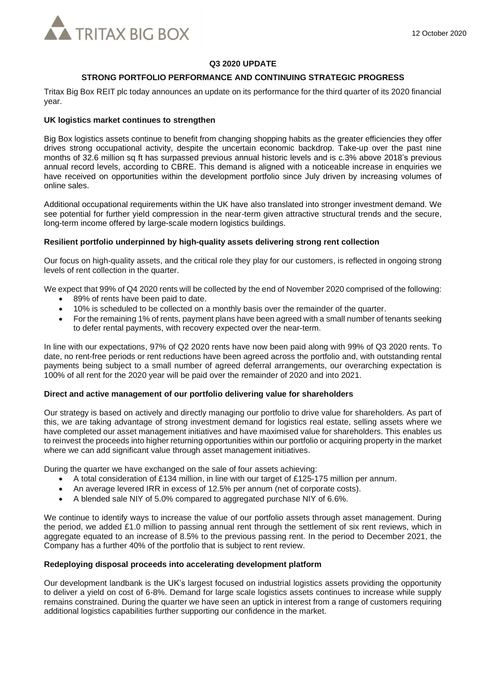

### **Q3 2020 UPDATE**

# **STRONG PORTFOLIO PERFORMANCE AND CONTINUING STRATEGIC PROGRESS**

Tritax Big Box REIT plc today announces an update on its performance for the third quarter of its 2020 financial year.

## **UK logistics market continues to strengthen**

Big Box logistics assets continue to benefit from changing shopping habits as the greater efficiencies they offer drives strong occupational activity, despite the uncertain economic backdrop. Take-up over the past nine months of 32.6 million sq ft has surpassed previous annual historic levels and is c.3% above 2018's previous annual record levels, according to CBRE. This demand is aligned with a noticeable increase in enquiries we have received on opportunities within the development portfolio since July driven by increasing volumes of online sales.

Additional occupational requirements within the UK have also translated into stronger investment demand. We see potential for further yield compression in the near-term given attractive structural trends and the secure, long-term income offered by large-scale modern logistics buildings.

# **Resilient portfolio underpinned by high-quality assets delivering strong rent collection**

Our focus on high-quality assets, and the critical role they play for our customers, is reflected in ongoing strong levels of rent collection in the quarter.

We expect that 99% of Q4 2020 rents will be collected by the end of November 2020 comprised of the following:

- 89% of rents have been paid to date.
- 10% is scheduled to be collected on a monthly basis over the remainder of the quarter.
- For the remaining 1% of rents, payment plans have been agreed with a small number of tenants seeking to defer rental payments, with recovery expected over the near-term.

In line with our expectations, 97% of Q2 2020 rents have now been paid along with 99% of Q3 2020 rents. To date, no rent-free periods or rent reductions have been agreed across the portfolio and, with outstanding rental payments being subject to a small number of agreed deferral arrangements, our overarching expectation is 100% of all rent for the 2020 year will be paid over the remainder of 2020 and into 2021.

### **Direct and active management of our portfolio delivering value for shareholders**

Our strategy is based on actively and directly managing our portfolio to drive value for shareholders. As part of this, we are taking advantage of strong investment demand for logistics real estate, selling assets where we have completed our asset management initiatives and have maximised value for shareholders. This enables us to reinvest the proceeds into higher returning opportunities within our portfolio or acquiring property in the market where we can add significant value through asset management initiatives.

During the quarter we have exchanged on the sale of four assets achieving:

- A total consideration of £134 million, in line with our target of £125-175 million per annum.
- An average levered IRR in excess of 12.5% per annum (net of corporate costs).
- A blended sale NIY of 5.0% compared to aggregated purchase NIY of 6.6%.

We continue to identify ways to increase the value of our portfolio assets through asset management. During the period, we added £1.0 million to passing annual rent through the settlement of six rent reviews, which in aggregate equated to an increase of 8.5% to the previous passing rent. In the period to December 2021, the Company has a further 40% of the portfolio that is subject to rent review.

### **Redeploying disposal proceeds into accelerating development platform**

Our development landbank is the UK's largest focused on industrial logistics assets providing the opportunity to deliver a yield on cost of 6-8%. Demand for large scale logistics assets continues to increase while supply remains constrained. During the quarter we have seen an uptick in interest from a range of customers requiring additional logistics capabilities further supporting our confidence in the market.